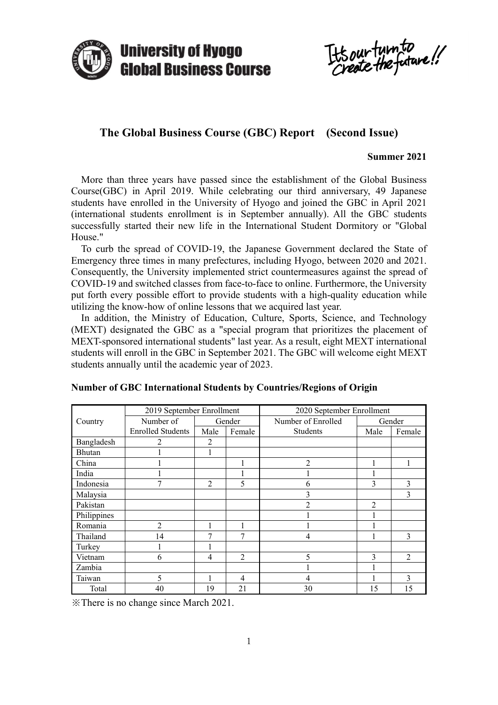

It's our turn to

# **The Global Business Course (GBC) Report (Second Issue)**

### **Summer 2021**

 More than three years have passed since the establishment of the Global Business Course(GBC) in April 2019. While celebrating our third anniversary, 49 Japanese students have enrolled in the University of Hyogo and joined the GBC in April 2021 (international students enrollment is in September annually). All the GBC students successfully started their new life in the International Student Dormitory or "Global House."

 To curb the spread of COVID-19, the Japanese Government declared the State of Emergency three times in many prefectures, including Hyogo, between 2020 and 2021. Consequently, the University implemented strict countermeasures against the spread of COVID-19 and switched classes from face-to-face to online. Furthermore, the University put forth every possible effort to provide students with a high-quality education while utilizing the know-how of online lessons that we acquired last year.

 In addition, the Ministry of Education, Culture, Sports, Science, and Technology (MEXT) designated the GBC as a "special program that prioritizes the placement of MEXT-sponsored international students" last year. As a result, eight MEXT international students will enroll in the GBC in September 2021. The GBC will welcome eight MEXT students annually until the academic year of 2023.

|             | 2019 September Enrollment |                |                | 2020 September Enrollment |                |                |  |
|-------------|---------------------------|----------------|----------------|---------------------------|----------------|----------------|--|
| Country     | Number of                 | Gender         |                | Number of Enrolled        | Gender         |                |  |
|             | <b>Enrolled Students</b>  | Male           | Female         | Students                  | Male           | Female         |  |
| Bangladesh  | 2                         | 2              |                |                           |                |                |  |
| Bhutan      |                           |                |                |                           |                |                |  |
| China       |                           |                |                | $\overline{2}$            |                |                |  |
| India       |                           |                |                |                           |                |                |  |
| Indonesia   | 7                         | 2              | 5              | 6                         | 3              | 3              |  |
| Malaysia    |                           |                |                | 3                         |                | 3              |  |
| Pakistan    |                           |                |                | $\mathfrak{D}$            | $\overline{2}$ |                |  |
| Philippines |                           |                |                |                           |                |                |  |
| Romania     | $\overline{2}$            |                |                |                           |                |                |  |
| Thailand    | 14                        | 7              | 7              | $\overline{4}$            |                | 3              |  |
| Turkey      |                           |                |                |                           |                |                |  |
| Vietnam     | 6                         | $\overline{4}$ | $\overline{2}$ | 5                         | 3              | $\mathfrak{D}$ |  |
| Zambia      |                           |                |                |                           |                |                |  |
| Taiwan      | 5                         |                | 4              | 4                         |                | $\overline{3}$ |  |
| Total       | 40                        | 19             | 21             | 30                        | 15             | 15             |  |

|  | Number of GBC International Students by Countries/Regions of Origin |  |  |  |
|--|---------------------------------------------------------------------|--|--|--|
|  |                                                                     |  |  |  |

※There is no change since March 2021.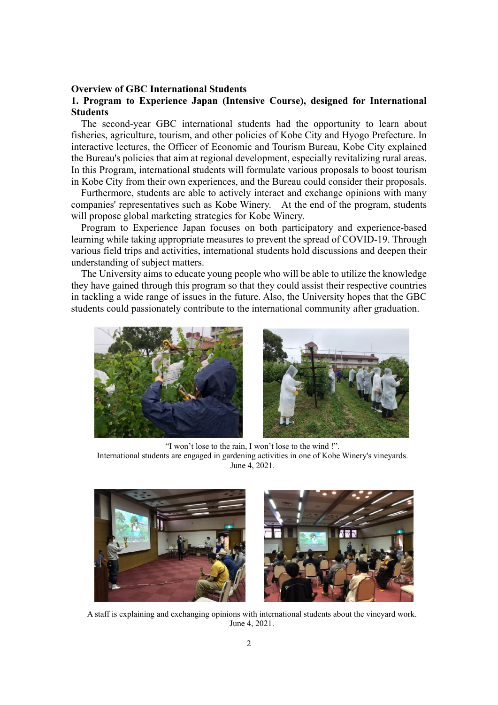### **Overview of GBC International Students**

# **1. Program to Experience Japan (Intensive Course), designed for International Students**

 The second-year GBC international students had the opportunity to learn about fisheries, agriculture, tourism, and other policies of Kobe City and Hyogo Prefecture. In interactive lectures, the Officer of Economic and Tourism Bureau, Kobe City explained the Bureau's policies that aim at regional development, especially revitalizing rural areas. In this Program, international students will formulate various proposals to boost tourism in Kobe City from their own experiences, and the Bureau could consider their proposals.

 Furthermore, students are able to actively interact and exchange opinions with many companies' representatives such as Kobe Winery. At the end of the program, students will propose global marketing strategies for Kobe Winery.

 Program to Experience Japan focuses on both participatory and experience-based learning while taking appropriate measures to prevent the spread of COVID-19. Through various field trips and activities, international students hold discussions and deepen their understanding of subject matters.

 The University aims to educate young people who will be able to utilize the knowledge they have gained through this program so that they could assist their respective countries in tackling a wide range of issues in the future. Also, the University hopes that the GBC students could passionately contribute to the international community after graduation.



"I won't lose to the rain, I won't lose to the wind !". International students are engaged in gardening activities in one of Kobe Winery's vineyards. June 4, 2021.



A staff is explaining and exchanging opinions with international students about the vineyard work. June 4, 2021.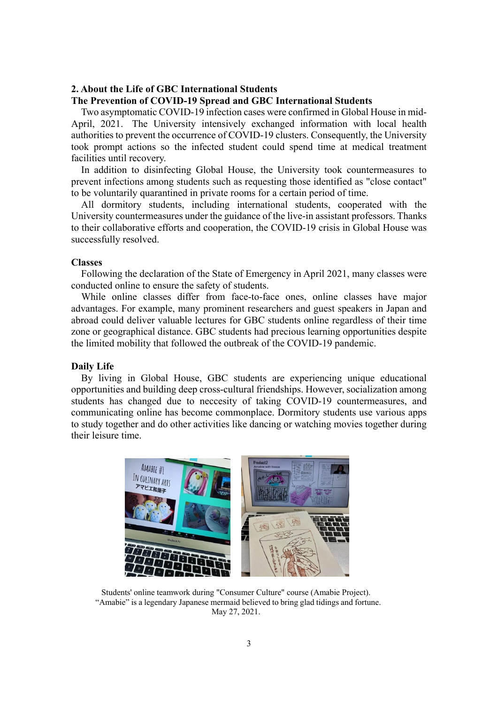# **2. About the Life of GBC International Students**

### **The Prevention of COVID-19 Spread and GBC International Students**

Two asymptomatic COVID-19 infection cases were confirmed in Global House in mid-April, 2021. The University intensively exchanged information with local health authorities to prevent the occurrence of COVID-19 clusters. Consequently, the University took prompt actions so the infected student could spend time at medical treatment facilities until recovery.

In addition to disinfecting Global House, the University took countermeasures to prevent infections among students such as requesting those identified as "close contact" to be voluntarily quarantined in private rooms for a certain period of time.

 All dormitory students, including international students, cooperated with the University countermeasures under the guidance of the live-in assistant professors. Thanks to their collaborative efforts and cooperation, the COVID-19 crisis in Global House was successfully resolved.

### **Classes**

Following the declaration of the State of Emergency in April 2021, many classes were conducted online to ensure the safety of students.

 While online classes differ from face-to-face ones, online classes have major advantages. For example, many prominent researchers and guest speakers in Japan and abroad could deliver valuable lectures for GBC students online regardless of their time zone or geographical distance. GBC students had precious learning opportunities despite the limited mobility that followed the outbreak of the COVID-19 pandemic.

#### **Daily Life**

By living in Global House, GBC students are experiencing unique educational opportunities and building deep cross-cultural friendships. However, socialization among students has changed due to neccesity of taking COVID-19 countermeasures, and communicating online has become commonplace. Dormitory students use various apps to study together and do other activities like dancing or watching movies together during their leisure time.



Students' online teamwork during "Consumer Culture" course (Amabie Project). "Amabie" is a legendary Japanese mermaid believed to bring glad tidings and fortune. May 27, 2021.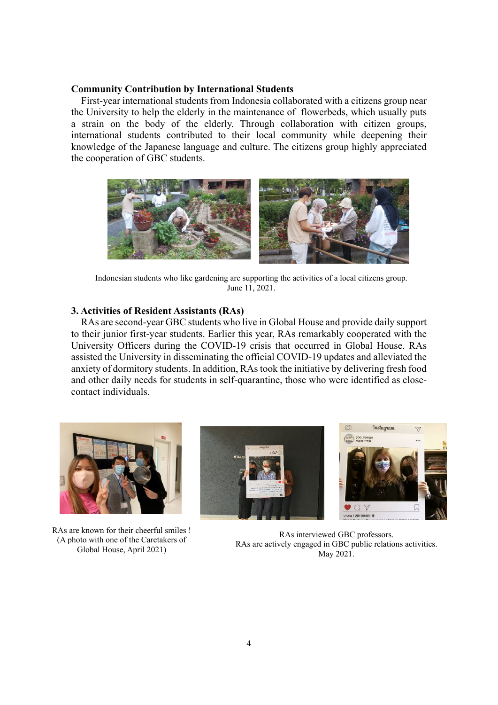### **Community Contribution by International Students**

First-year international students from Indonesia collaborated with a citizens group near the University to help the elderly in the maintenance of flowerbeds, which usually puts a strain on the body of the elderly. Through collaboration with citizen groups, international students contributed to their local community while deepening their knowledge of the Japanese language and culture. The citizens group highly appreciated the cooperation of GBC students.



Indonesian students who like gardening are supporting the activities of a local citizens group. June 11, 2021.

## **3. Activities of Resident Assistants (RAs)**

RAs are second-year GBC students who live in Global House and provide daily support to their junior first-year students. Earlier this year, RAs remarkably cooperated with the University Officers during the COVID-19 crisis that occurred in Global House. RAs assisted the University in disseminating the official COVID-19 updates and alleviated the anxiety of dormitory students. In addition, RAs took the initiative by delivering fresh food and other daily needs for students in self-quarantine, those who were identified as closecontact individuals.



RAs are known for their cheerful smiles ! (A photo with one of the Caretakers of Global House, April 2021)





RAs interviewed GBC professors. RAs are actively engaged in GBC public relations activities. May 2021.